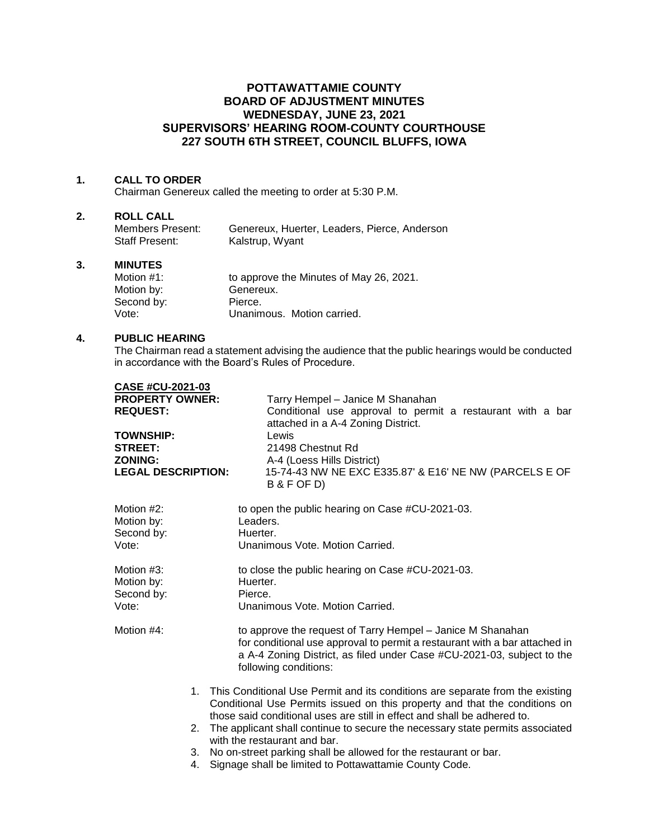# **POTTAWATTAMIE COUNTY BOARD OF ADJUSTMENT MINUTES WEDNESDAY, JUNE 23, 2021 SUPERVISORS' HEARING ROOM-COUNTY COURTHOUSE 227 SOUTH 6TH STREET, COUNCIL BLUFFS, IOWA**

## **1. CALL TO ORDER**

Chairman Genereux called the meeting to order at 5:30 P.M.

#### **2. ROLL CALL**

| Members Present: | Genereux, Huerter, Leaders, Pierce, Anderson |
|------------------|----------------------------------------------|
| Staff Present:   | Kalstrup, Wyant                              |

## **3. MINUTES**

| Motion $#1$ : | to approve the Minutes of May 26, 2021. |
|---------------|-----------------------------------------|
| Motion by:    | Genereux.                               |
| Second by:    | Pierce.                                 |
| Vote:         | Unanimous. Motion carried.              |

#### **4. PUBLIC HEARING**

The Chairman read a statement advising the audience that the public hearings would be conducted in accordance with the Board's Rules of Procedure.

| <b>CASE #CU-2021-03</b>   |                                                                                                                                                        |
|---------------------------|--------------------------------------------------------------------------------------------------------------------------------------------------------|
| <b>PROPERTY OWNER:</b>    | Tarry Hempel - Janice M Shanahan                                                                                                                       |
| <b>REQUEST:</b>           | Conditional use approval to permit a restaurant with a bar                                                                                             |
|                           | attached in a A-4 Zoning District.                                                                                                                     |
| <b>TOWNSHIP:</b>          | Lewis                                                                                                                                                  |
| <b>STREET:</b>            | 21498 Chestnut Rd                                                                                                                                      |
| <b>ZONING:</b>            | A-4 (Loess Hills District)                                                                                                                             |
| <b>LEGAL DESCRIPTION:</b> | 15-74-43 NW NE EXC E335.87' & E16' NE NW (PARCELS E OF                                                                                                 |
|                           | B & F OF D)                                                                                                                                            |
| Motion #2:                | to open the public hearing on Case #CU-2021-03.                                                                                                        |
| Motion by:                | Leaders.                                                                                                                                               |
| Second by:                | Huerter.                                                                                                                                               |
| Vote:                     | Unanimous Vote, Motion Carried.                                                                                                                        |
|                           |                                                                                                                                                        |
| Motion #3:                | to close the public hearing on Case #CU-2021-03.                                                                                                       |
| Motion by:                | Huerter.                                                                                                                                               |
| Second by:                | Pierce.                                                                                                                                                |
| Vote:                     | Unanimous Vote, Motion Carried.                                                                                                                        |
| Motion #4:                | to approve the request of Tarry Hempel - Janice M Shanahan                                                                                             |
|                           | for conditional use approval to permit a restaurant with a bar attached in                                                                             |
|                           | a A-4 Zoning District, as filed under Case #CU-2021-03, subject to the                                                                                 |
|                           | following conditions:                                                                                                                                  |
|                           |                                                                                                                                                        |
| 1.                        | This Conditional Use Permit and its conditions are separate from the existing                                                                          |
|                           | Conditional Use Permits issued on this property and that the conditions on<br>those said conditional uses are still in effect and shall be adhered to. |
|                           | The applicant shall continue to secure the necessary state permits associated                                                                          |
| 2.                        | with the restaurant and bar.                                                                                                                           |
|                           | 3. No on-street parking shall be allowed for the restaurant or bar.                                                                                    |
| 4.                        | Signage shall be limited to Pottawattamie County Code.                                                                                                 |
|                           |                                                                                                                                                        |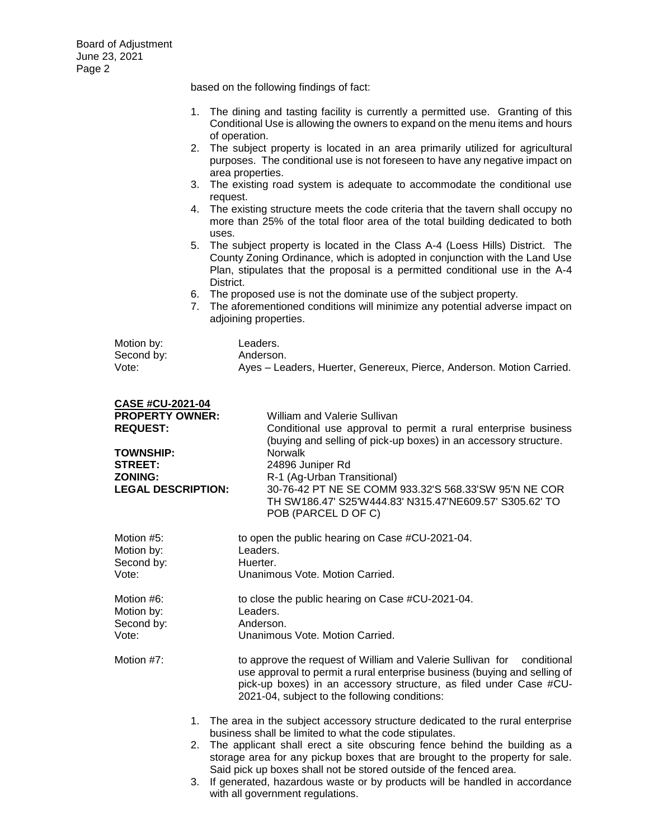Board of Adjustment June 23, 2021 Page 2

based on the following findings of fact:

- 1. The dining and tasting facility is currently a permitted use. Granting of this Conditional Use is allowing the owners to expand on the menu items and hours of operation.
- 2. The subject property is located in an area primarily utilized for agricultural purposes. The conditional use is not foreseen to have any negative impact on area properties.
- 3. The existing road system is adequate to accommodate the conditional use request.
- 4. The existing structure meets the code criteria that the tavern shall occupy no more than 25% of the total floor area of the total building dedicated to both uses.
- 5. The subject property is located in the Class A-4 (Loess Hills) District. The County Zoning Ordinance, which is adopted in conjunction with the Land Use Plan, stipulates that the proposal is a permitted conditional use in the A-4 District.
- 6. The proposed use is not the dominate use of the subject property.
- 7. The aforementioned conditions will minimize any potential adverse impact on adjoining properties.

| Motion by: | Leaders.                                                             |
|------------|----------------------------------------------------------------------|
| Second by: | Anderson.                                                            |
| Vote:      | Ayes – Leaders, Huerter, Genereux, Pierce, Anderson. Motion Carried. |

| <b>CASE #CU-2021-04</b>                                                                                                        |                                                                                                                                                                                                                                                                                                                                                                                                                                                                                                 |
|--------------------------------------------------------------------------------------------------------------------------------|-------------------------------------------------------------------------------------------------------------------------------------------------------------------------------------------------------------------------------------------------------------------------------------------------------------------------------------------------------------------------------------------------------------------------------------------------------------------------------------------------|
| <b>PROPERTY OWNER:</b><br><b>REQUEST:</b><br><b>TOWNSHIP:</b><br><b>STREET:</b><br><b>ZONING:</b><br><b>LEGAL DESCRIPTION:</b> | William and Valerie Sullivan<br>Conditional use approval to permit a rural enterprise business<br>(buying and selling of pick-up boxes) in an accessory structure.<br><b>Norwalk</b><br>24896 Juniper Rd<br>R-1 (Ag-Urban Transitional)<br>30-76-42 PT NE SE COMM 933.32'S 568.33'SW 95'N NE COR<br>TH SW186.47' S25'W444.83' N315.47'NE609.57' S305.62' TO<br>POB (PARCEL D OF C)                                                                                                              |
| Motion #5:<br>Motion by:<br>Second by:<br>Vote:                                                                                | to open the public hearing on Case #CU-2021-04.<br>Leaders.<br>Huerter.<br>Unanimous Vote, Motion Carried.                                                                                                                                                                                                                                                                                                                                                                                      |
| Motion #6:<br>Motion by:<br>Second by:<br>Vote:                                                                                | to close the public hearing on Case #CU-2021-04.<br>Leaders.<br>Anderson.<br>Unanimous Vote, Motion Carried.                                                                                                                                                                                                                                                                                                                                                                                    |
| Motion #7:                                                                                                                     | to approve the request of William and Valerie Sullivan for conditional<br>use approval to permit a rural enterprise business (buying and selling of<br>pick-up boxes) in an accessory structure, as filed under Case #CU-<br>2021-04, subject to the following conditions:                                                                                                                                                                                                                      |
| 2.<br>3.                                                                                                                       | 1. The area in the subject accessory structure dedicated to the rural enterprise<br>business shall be limited to what the code stipulates.<br>The applicant shall erect a site obscuring fence behind the building as a<br>storage area for any pickup boxes that are brought to the property for sale.<br>Said pick up boxes shall not be stored outside of the fenced area.<br>If generated, hazardous waste or by products will be handled in accordance<br>with all government regulations. |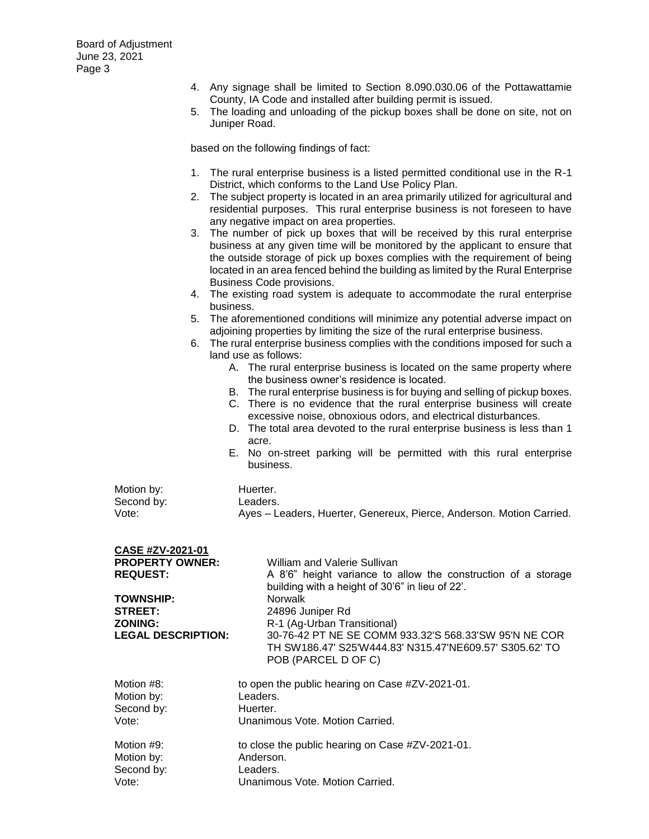- 4. Any signage shall be limited to Section 8.090.030.06 of the Pottawattamie County, IA Code and installed after building permit is issued.
- 5. The loading and unloading of the pickup boxes shall be done on site, not on Juniper Road.

based on the following findings of fact:

- 1. The rural enterprise business is a listed permitted conditional use in the R-1 District, which conforms to the Land Use Policy Plan.
- 2. The subject property is located in an area primarily utilized for agricultural and residential purposes. This rural enterprise business is not foreseen to have any negative impact on area properties.
- 3. The number of pick up boxes that will be received by this rural enterprise business at any given time will be monitored by the applicant to ensure that the outside storage of pick up boxes complies with the requirement of being located in an area fenced behind the building as limited by the Rural Enterprise Business Code provisions.
- 4. The existing road system is adequate to accommodate the rural enterprise business.
- 5. The aforementioned conditions will minimize any potential adverse impact on adjoining properties by limiting the size of the rural enterprise business.
- 6. The rural enterprise business complies with the conditions imposed for such a land use as follows:
	- A. The rural enterprise business is located on the same property where the business owner's residence is located.
	- B. The rural enterprise business is for buying and selling of pickup boxes.
	- C. There is no evidence that the rural enterprise business will create excessive noise, obnoxious odors, and electrical disturbances.
	- D. The total area devoted to the rural enterprise business is less than 1 acre.
	- E. No on-street parking will be permitted with this rural enterprise business.

| Motion by: | Huerter.                                                             |
|------------|----------------------------------------------------------------------|
| Second by: | Leaders.                                                             |
| Vote:      | Ayes – Leaders, Huerter, Genereux, Pierce, Anderson. Motion Carried. |

| CASE #ZV-2021-01          |                                                                                                                                         |
|---------------------------|-----------------------------------------------------------------------------------------------------------------------------------------|
| <b>PROPERTY OWNER:</b>    | William and Valerie Sullivan                                                                                                            |
| <b>REQUEST:</b>           | A 8'6" height variance to allow the construction of a storage<br>building with a height of 30'6" in lieu of 22'.                        |
| <b>TOWNSHIP:</b>          | <b>Norwalk</b>                                                                                                                          |
| <b>STREET:</b>            | 24896 Juniper Rd                                                                                                                        |
| <b>ZONING:</b>            | R-1 (Ag-Urban Transitional)                                                                                                             |
| <b>LEGAL DESCRIPTION:</b> | 30-76-42 PT NE SE COMM 933.32'S 568.33'SW 95'N NE COR<br>TH SW186.47' S25'W444.83' N315.47'NE609.57' S305.62' TO<br>POB (PARCEL D OF C) |
| Motion #8:                | to open the public hearing on Case #ZV-2021-01.                                                                                         |
| Motion by:                | Leaders.                                                                                                                                |
| Second by:                | Huerter.                                                                                                                                |
| Vote:                     | Unanimous Vote, Motion Carried.                                                                                                         |
| Motion #9:                | to close the public hearing on Case #ZV-2021-01.                                                                                        |
| Motion by:                | Anderson.                                                                                                                               |
| Second by:                | Leaders.                                                                                                                                |
| Vote:                     | Unanimous Vote, Motion Carried.                                                                                                         |